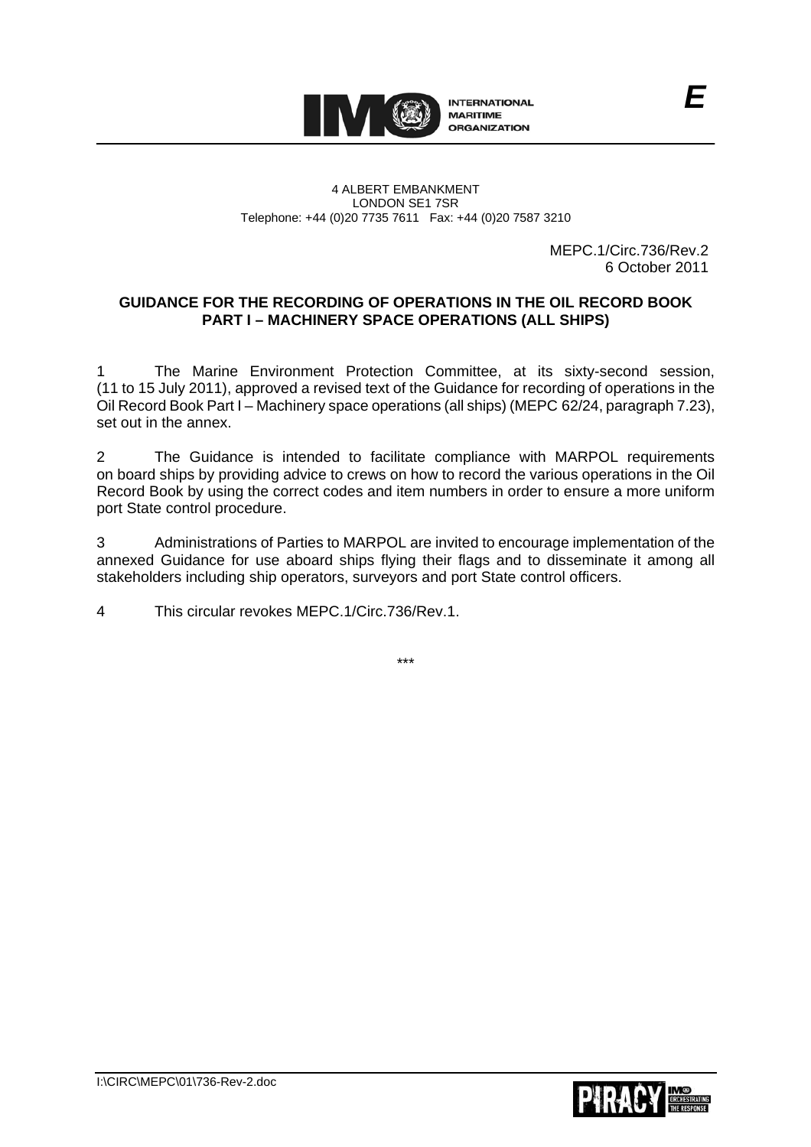

#### 4 ALBERT EMBANKMENT LONDON SE1 7SR Telephone: +44 (0)20 7735 7611 Fax: +44 (0)20 7587 3210

 MEPC.1/Circ.736/Rev.2 6 October 2011

*E*

## **GUIDANCE FOR THE RECORDING OF OPERATIONS IN THE OIL RECORD BOOK PART I – MACHINERY SPACE OPERATIONS (ALL SHIPS)**

The Marine Environment Protection Committee, at its sixty-second session, (11 to 15 July 2011), approved a revised text of the Guidance for recording of operations in the Oil Record Book Part I – Machinery space operations (all ships) (MEPC 62/24, paragraph 7.23), set out in the annex.

2 The Guidance is intended to facilitate compliance with MARPOL requirements on board ships by providing advice to crews on how to record the various operations in the Oil Record Book by using the correct codes and item numbers in order to ensure a more uniform port State control procedure.

3 Administrations of Parties to MARPOL are invited to encourage implementation of the annexed Guidance for use aboard ships flying their flags and to disseminate it among all stakeholders including ship operators, surveyors and port State control officers.

4 This circular revokes MEPC.1/Circ.736/Rev.1.



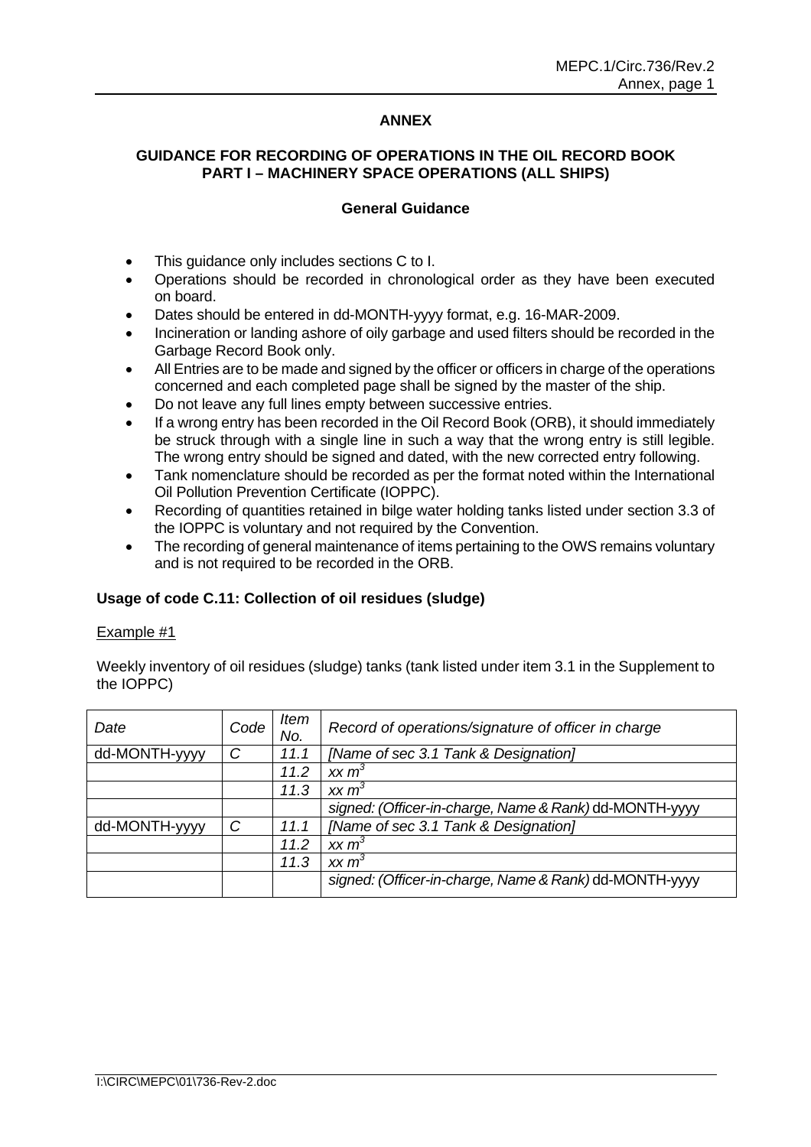### **ANNEX**

## **GUIDANCE FOR RECORDING OF OPERATIONS IN THE OIL RECORD BOOK PART I – MACHINERY SPACE OPERATIONS (ALL SHIPS)**

#### **General Guidance**

- This guidance only includes sections C to I.
- Operations should be recorded in chronological order as they have been executed on board.
- Dates should be entered in dd-MONTH-yyyy format, e.g. 16-MAR-2009.
- Incineration or landing ashore of oily garbage and used filters should be recorded in the Garbage Record Book only.
- All Entries are to be made and signed by the officer or officers in charge of the operations concerned and each completed page shall be signed by the master of the ship.
- Do not leave any full lines empty between successive entries.
- If a wrong entry has been recorded in the Oil Record Book (ORB), it should immediately be struck through with a single line in such a way that the wrong entry is still legible. The wrong entry should be signed and dated, with the new corrected entry following.
- Tank nomenclature should be recorded as per the format noted within the International Oil Pollution Prevention Certificate (IOPPC).
- Recording of quantities retained in bilge water holding tanks listed under section 3.3 of the IOPPC is voluntary and not required by the Convention.
- The recording of general maintenance of items pertaining to the OWS remains voluntary and is not required to be recorded in the ORB.

#### **Usage of code C.11: Collection of oil residues (sludge)**

#### Example #1

Weekly inventory of oil residues (sludge) tanks (tank listed under item 3.1 in the Supplement to the IOPPC)

| Date          | Code | Item<br>No. | Record of operations/signature of officer in charge    |
|---------------|------|-------------|--------------------------------------------------------|
| dd-MONTH-yyyy | C    | 11.1        | [Name of sec 3.1 Tank & Designation]                   |
|               |      | 11.2        | xx m <sup>3</sup>                                      |
|               |      | 11.3        | xx m <sup>3</sup>                                      |
|               |      |             | signed: (Officer-in-charge, Name & Rank) dd-MONTH-yyyy |
| dd-MONTH-yyyy | C    | 11.1        | [Name of sec 3.1 Tank & Designation]                   |
|               |      | 11.2        | xx m <sup>3</sup>                                      |
|               |      | 11.3        | xx m <sup>3</sup>                                      |
|               |      |             | signed: (Officer-in-charge, Name & Rank) dd-MONTH-yyyy |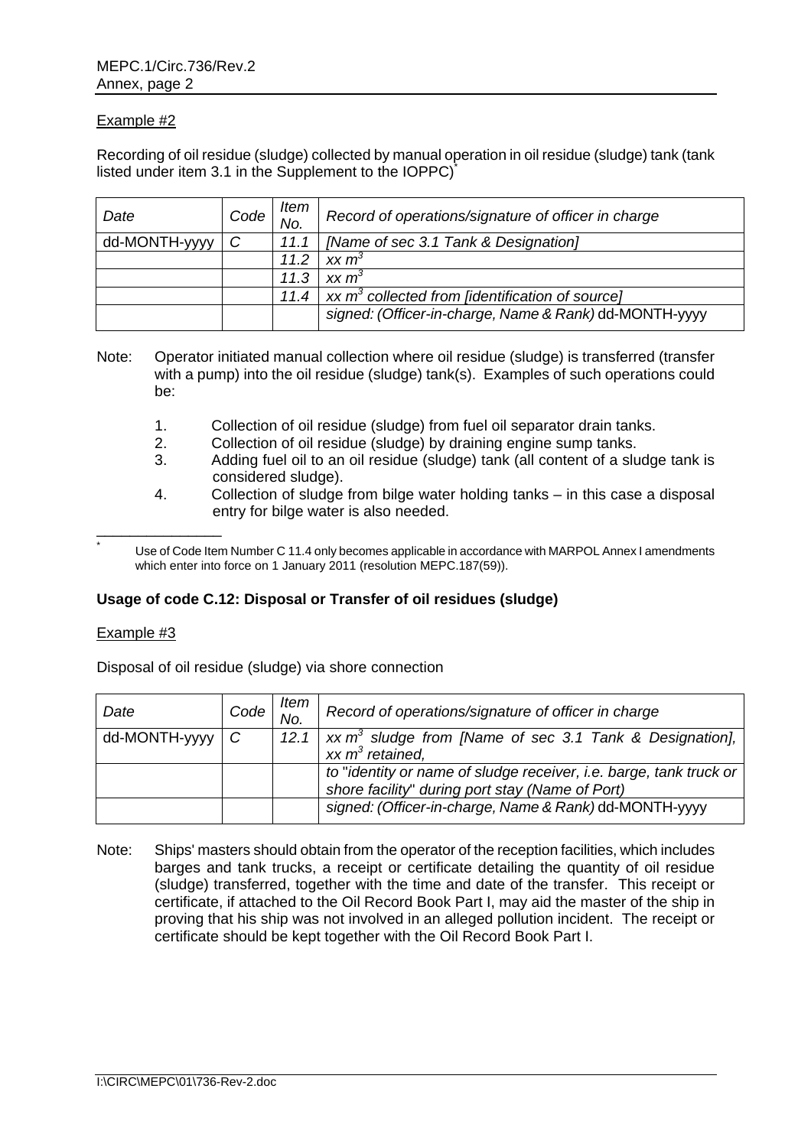Recording of oil residue (sludge) collected by manual operation in oil residue (sludge) tank (tank listed under item 3.1 in the Supplement to the IOPPC)<sup>\*</sup>

| Date          | Code | Item<br>No. | Record of operations/signature of officer in charge    |
|---------------|------|-------------|--------------------------------------------------------|
| dd-MONTH-yyyy | C    | 11.1        | [Name of sec 3.1 Tank & Designation]                   |
|               |      | 11.2        | xx m <sup>3</sup>                                      |
|               |      | 11.3        | xx m <sup>3</sup>                                      |
|               |      | 11.4        | xx $m^3$ collected from [identification of source]     |
|               |      |             | signed: (Officer-in-charge, Name & Rank) dd-MONTH-yyyy |

- Note: Operator initiated manual collection where oil residue (sludge) is transferred (transfer with a pump) into the oil residue (sludge) tank(s). Examples of such operations could be:
	- 1. Collection of oil residue (sludge) from fuel oil separator drain tanks.
	- 2. Collection of oil residue (sludge) by draining engine sump tanks.
	- 3. Adding fuel oil to an oil residue (sludge) tank (all content of a sludge tank is considered sludge).
	- 4. Collection of sludge from bilge water holding tanks in this case a disposal entry for bilge water is also needed.

 Use of Code Item Number C 11.4 only becomes applicable in accordance with MARPOL Annex I amendments which enter into force on 1 January 2011 (resolution MEPC.187(59)).

#### **Usage of code C.12: Disposal or Transfer of oil residues (sludge)**

#### Example #3

\*

\_\_\_\_\_\_\_\_\_\_\_\_\_\_\_

Disposal of oil residue (sludge) via shore connection

| Date            | Code | ltem<br>No. | Record of operations/signature of officer in charge                                                                   |
|-----------------|------|-------------|-----------------------------------------------------------------------------------------------------------------------|
| $dd-MONTH-yyyy$ | C    | 12.1        | xx $m^3$ sludge from [Name of sec 3.1 Tank & Designation],<br>xx $m^3$ retained.                                      |
|                 |      |             | to "identity or name of sludge receiver, i.e. barge, tank truck or<br>shore facility" during port stay (Name of Port) |
|                 |      |             | signed: (Officer-in-charge, Name & Rank) dd-MONTH-yyyy                                                                |

Note: Ships' masters should obtain from the operator of the reception facilities, which includes barges and tank trucks, a receipt or certificate detailing the quantity of oil residue (sludge) transferred, together with the time and date of the transfer. This receipt or certificate, if attached to the Oil Record Book Part I, may aid the master of the ship in proving that his ship was not involved in an alleged pollution incident. The receipt or certificate should be kept together with the Oil Record Book Part I.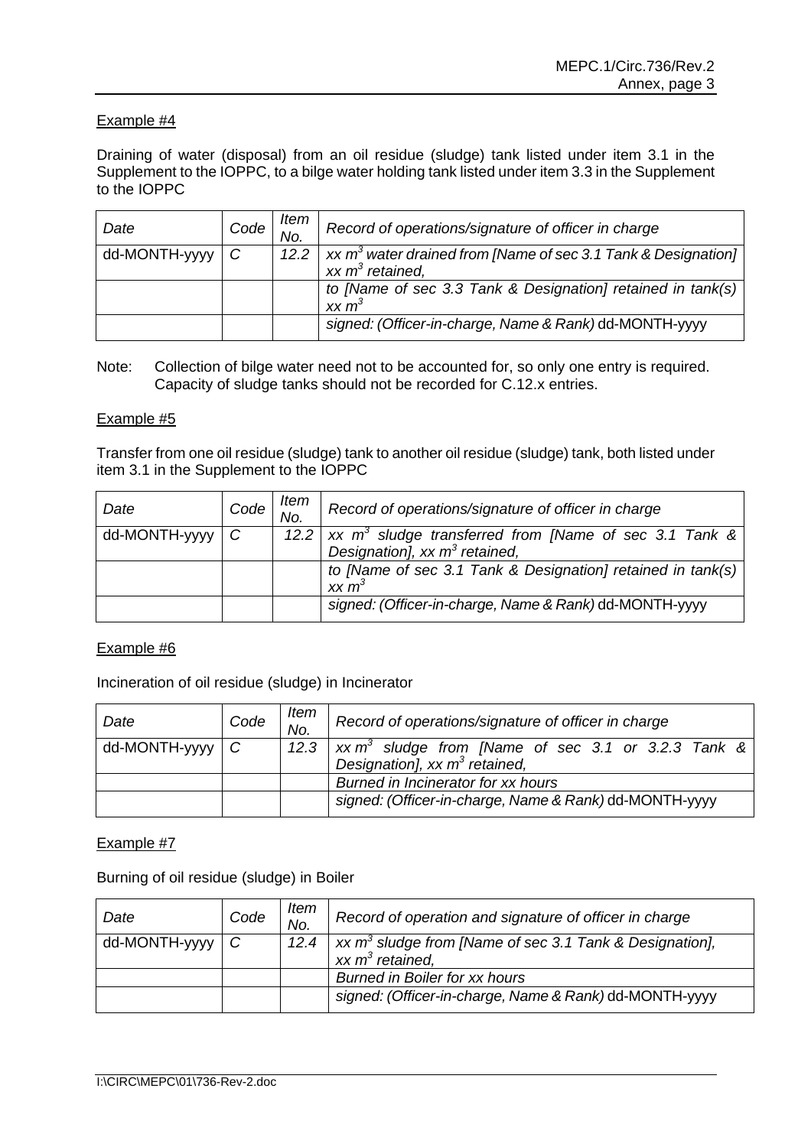Draining of water (disposal) from an oil residue (sludge) tank listed under item 3.1 in the Supplement to the IOPPC, to a bilge water holding tank listed under item 3.3 in the Supplement to the IOPPC

| Date          | Code | ltem<br>No. | Record of operations/signature of officer in charge              |
|---------------|------|-------------|------------------------------------------------------------------|
| dd-MONTH-yyyy | C    | 12.2        | xx $m^3$ water drained from [Name of sec 3.1 Tank & Designation] |
|               |      |             | xx $m^3$ retained,                                               |
|               |      |             | to [Name of sec 3.3 Tank & Designation] retained in tank(s)      |
|               |      |             | $xx m^3$                                                         |
|               |      |             | signed: (Officer-in-charge, Name & Rank) dd-MONTH-yyyy           |
|               |      |             |                                                                  |

Note: Collection of bilge water need not to be accounted for, so only one entry is required. Capacity of sludge tanks should not be recorded for C.12.x entries.

### Example #5

Transfer from one oil residue (sludge) tank to another oil residue (sludge) tank, both listed under item 3.1 in the Supplement to the IOPPC

| Date          | Code | <b>Item</b><br>No. | Record of operations/signature of officer in charge                       |
|---------------|------|--------------------|---------------------------------------------------------------------------|
| dd-MONTH-yyyy | C    |                    | 12.2   xx $m^3$ sludge transferred from [Name of sec 3.1 Tank &           |
|               |      |                    | Designation], xx $m^3$ retained,                                          |
|               |      |                    | to [Name of sec 3.1 Tank & Designation] retained in tank(s)<br>$xx \, m3$ |
|               |      |                    | signed: (Officer-in-charge, Name & Rank) dd-MONTH-yyyy                    |

### Example #6

Incineration of oil residue (sludge) in Incinerator

| Date                   | Code | ltem<br>No. | Record of operations/signature of officer in charge                                                         |
|------------------------|------|-------------|-------------------------------------------------------------------------------------------------------------|
| $dd$ -MONTH-yyyy $ C $ |      |             | 12.3   xx m <sup>3</sup> sludge from [Name of sec 3.1 or 3.2.3 Tank &  <br>Designation], xx $m^3$ retained, |
|                        |      |             | Burned in Incinerator for xx hours                                                                          |
|                        |      |             | signed: (Officer-in-charge, Name & Rank) dd-MONTH-yyyy                                                      |

### Example #7

Burning of oil residue (sludge) in Boiler

| Date                   | Code | Item<br>No. | Record of operation and signature of officer in charge                                    |
|------------------------|------|-------------|-------------------------------------------------------------------------------------------|
| $dd$ -MONTH-yyyy $ C $ |      | 12.4        | xx m <sup>3</sup> sludge from [Name of sec 3.1 Tank & Designation],<br>xx $m^3$ retained, |
|                        |      |             | <b>Burned in Boiler for xx hours</b>                                                      |
|                        |      |             | signed: (Officer-in-charge, Name & Rank) dd-MONTH-yyyy                                    |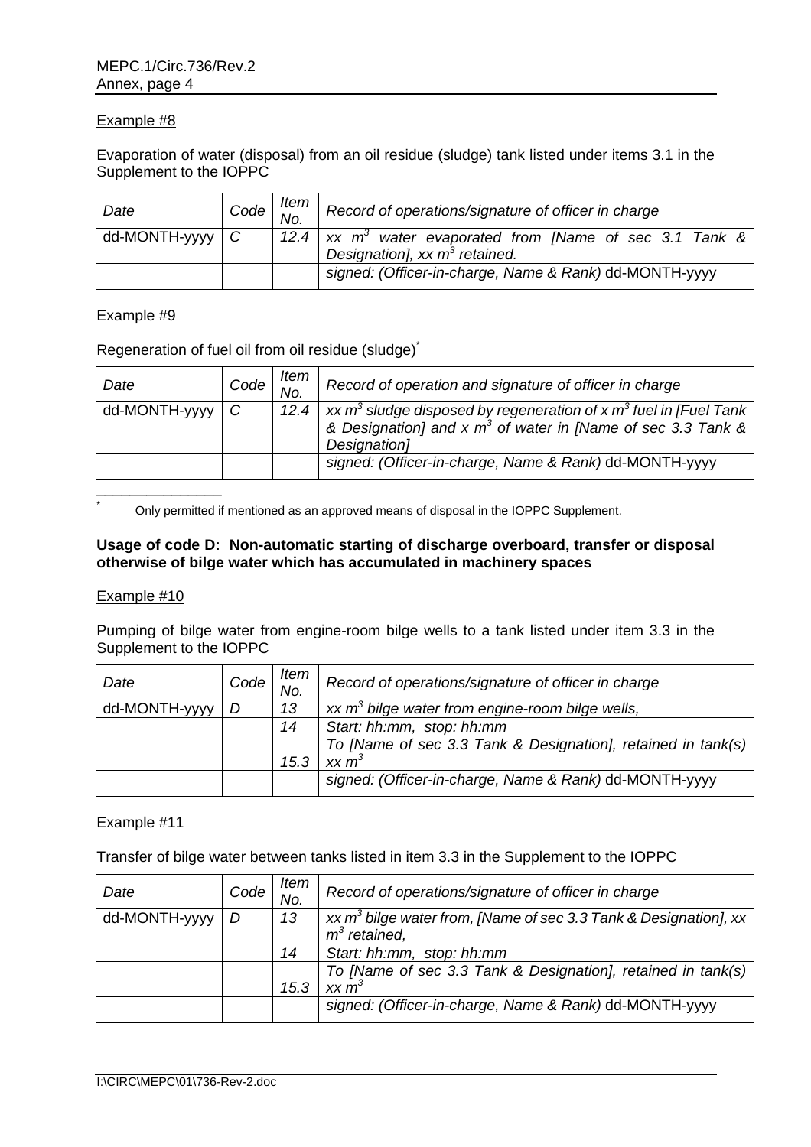Evaporation of water (disposal) from an oil residue (sludge) tank listed under items 3.1 in the Supplement to the IOPPC

| Date                   | $Code \frac{1}{10}$ | ltem | Record of operations/signature of officer in charge           |
|------------------------|---------------------|------|---------------------------------------------------------------|
| $dd$ -MONTH-yyyy $ C $ |                     |      | 12.4   xx $m^3$ water evaporated from [Name of sec 3.1 Tank & |
|                        |                     |      | Designation], xx $m^3$ retained.                              |
|                        |                     |      | signed: (Officer-in-charge, Name & Rank) dd-MONTH-yyyy        |

### Example #9

Regeneration of fuel oil from oil residue (sludge)\*

| Date                   | Code | ltem<br>No. | Record of operation and signature of officer in charge                                                                                                                                      |
|------------------------|------|-------------|---------------------------------------------------------------------------------------------------------------------------------------------------------------------------------------------|
| $dd$ -MONTH-yyyy $ C $ |      |             | 12.4   xx m <sup>3</sup> sludge disposed by regeneration of x m <sup>3</sup> fuel in [Fuel Tank]<br>& Designation] and x m <sup>3</sup> of water in [Name of sec 3.3 Tank &<br>Designation] |
|                        |      |             | signed: (Officer-in-charge, Name & Rank) dd-MONTH-yyyy                                                                                                                                      |
|                        |      |             |                                                                                                                                                                                             |

Only permitted if mentioned as an approved means of disposal in the IOPPC Supplement.

### **Usage of code D: Non-automatic starting of discharge overboard, transfer or disposal otherwise of bilge water which has accumulated in machinery spaces**

#### Example #10

\*

Pumping of bilge water from engine-room bilge wells to a tank listed under item 3.3 in the Supplement to the IOPPC

| Date          | Code | ltem<br>No. | Record of operations/signature of officer in charge          |
|---------------|------|-------------|--------------------------------------------------------------|
| dd-MONTH-yyyy | D    | 13          | xx $m3$ bilge water from engine-room bilge wells,            |
|               |      | 14          | Start: hh:mm, stop: hh:mm                                    |
|               |      |             | To [Name of sec 3.3 Tank & Designation], retained in tank(s) |
|               |      | 15.3        | xx m <sup>3</sup>                                            |
|               |      |             | signed: (Officer-in-charge, Name & Rank) dd-MONTH-yyyy       |
|               |      |             |                                                              |

## Example #11

Transfer of bilge water between tanks listed in item 3.3 in the Supplement to the IOPPC

| Date          | Code | Item<br>No. | Record of operations/signature of officer in charge                 |
|---------------|------|-------------|---------------------------------------------------------------------|
| dd-MONTH-yyyy | D    | 13          | xx $m^3$ bilge water from, [Name of sec 3.3 Tank & Designation], xx |
|               |      |             | $m^3$ retained,                                                     |
|               |      | 14          | Start: hh:mm, stop: hh:mm                                           |
|               |      |             | To [Name of sec 3.3 Tank & Designation], retained in tank(s)        |
|               |      | 15.3        | xx m <sup>3</sup>                                                   |
|               |      |             | signed: (Officer-in-charge, Name & Rank) dd-MONTH-yyyy              |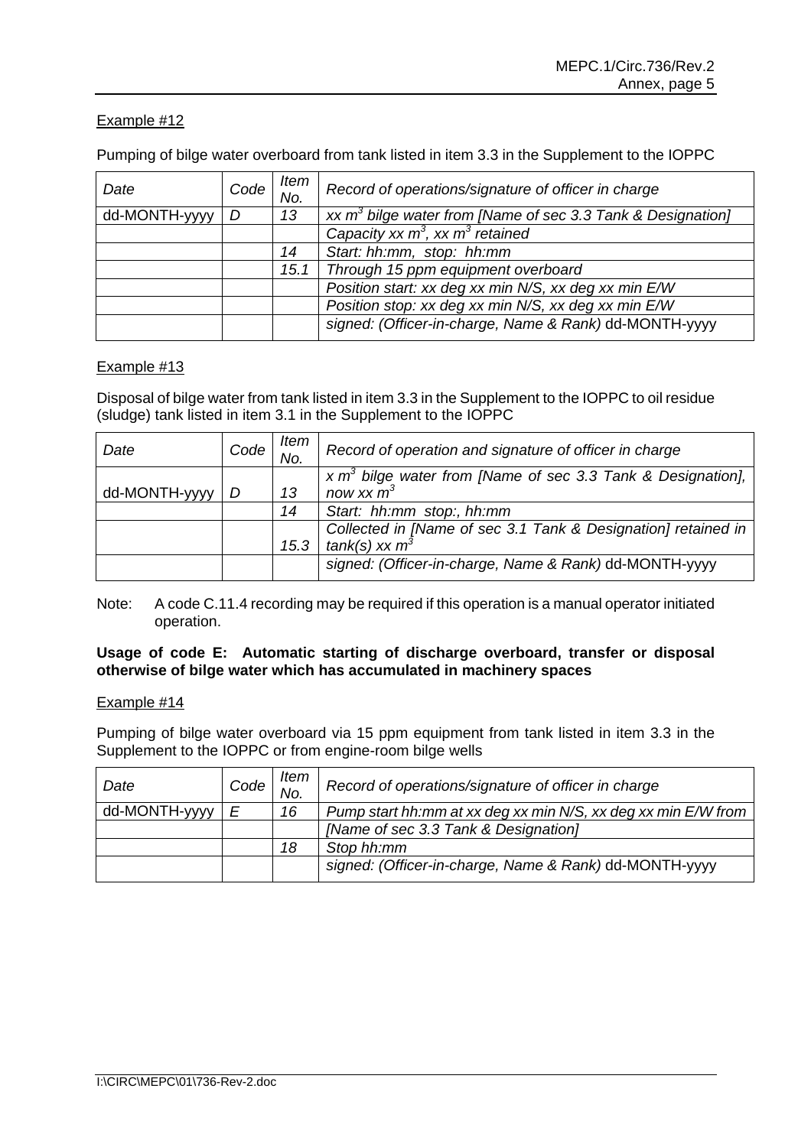Pumping of bilge water overboard from tank listed in item 3.3 in the Supplement to the IOPPC

| Date          | Code | Item<br>No. | Record of operations/signature of officer in charge            |
|---------------|------|-------------|----------------------------------------------------------------|
| dd-MONTH-yyyy | D    | 13          | xx $m^3$ bilge water from [Name of sec 3.3 Tank & Designation] |
|               |      |             | Capacity xx $m^3$ , xx $m^3$ retained                          |
|               |      | 14          | Start: hh:mm, stop: hh:mm                                      |
|               |      | 15.1        | Through 15 ppm equipment overboard                             |
|               |      |             | Position start: xx deg xx min N/S, xx deg xx min E/W           |
|               |      |             | Position stop: xx deg xx min N/S, xx deg xx min E/W            |
|               |      |             | signed: (Officer-in-charge, Name & Rank) dd-MONTH-yyyy         |

## Example #13

Disposal of bilge water from tank listed in item 3.3 in the Supplement to the IOPPC to oil residue (sludge) tank listed in item 3.1 in the Supplement to the IOPPC

| Date          | Code | ltem<br>No. | Record of operation and signature of officer in charge           |
|---------------|------|-------------|------------------------------------------------------------------|
|               |      |             | $x \, m3$ bilge water from [Name of sec 3.3 Tank & Designation], |
| dd-MONTH-yyyy | D    | 13          | now xx $m^3$                                                     |
|               |      | 14          | Start: hh:mm stop:, hh:mm                                        |
|               |      |             | Collected in [Name of sec 3.1 Tank & Designation] retained in    |
|               |      | 15.3        | tank(s) xx $m^3$                                                 |
|               |      |             | signed: (Officer-in-charge, Name & Rank) dd-MONTH-yyyy           |

Note: A code C.11.4 recording may be required if this operation is a manual operator initiated operation.

### **Usage of code E: Automatic starting of discharge overboard, transfer or disposal otherwise of bilge water which has accumulated in machinery spaces**

### Example #14

Pumping of bilge water overboard via 15 ppm equipment from tank listed in item 3.3 in the Supplement to the IOPPC or from engine-room bilge wells

| Date          | Code <sup>1</sup> | ltem<br>No. | Record of operations/signature of officer in charge           |
|---------------|-------------------|-------------|---------------------------------------------------------------|
| dd-MONTH-yyyy | F                 | 16          | Pump start hh:mm at xx deg xx min N/S, xx deg xx min E/W from |
|               |                   |             | [Name of sec 3.3 Tank & Designation]                          |
|               |                   | 18          | Stop hh:mm                                                    |
|               |                   |             | signed: (Officer-in-charge, Name & Rank) dd-MONTH-yyyy        |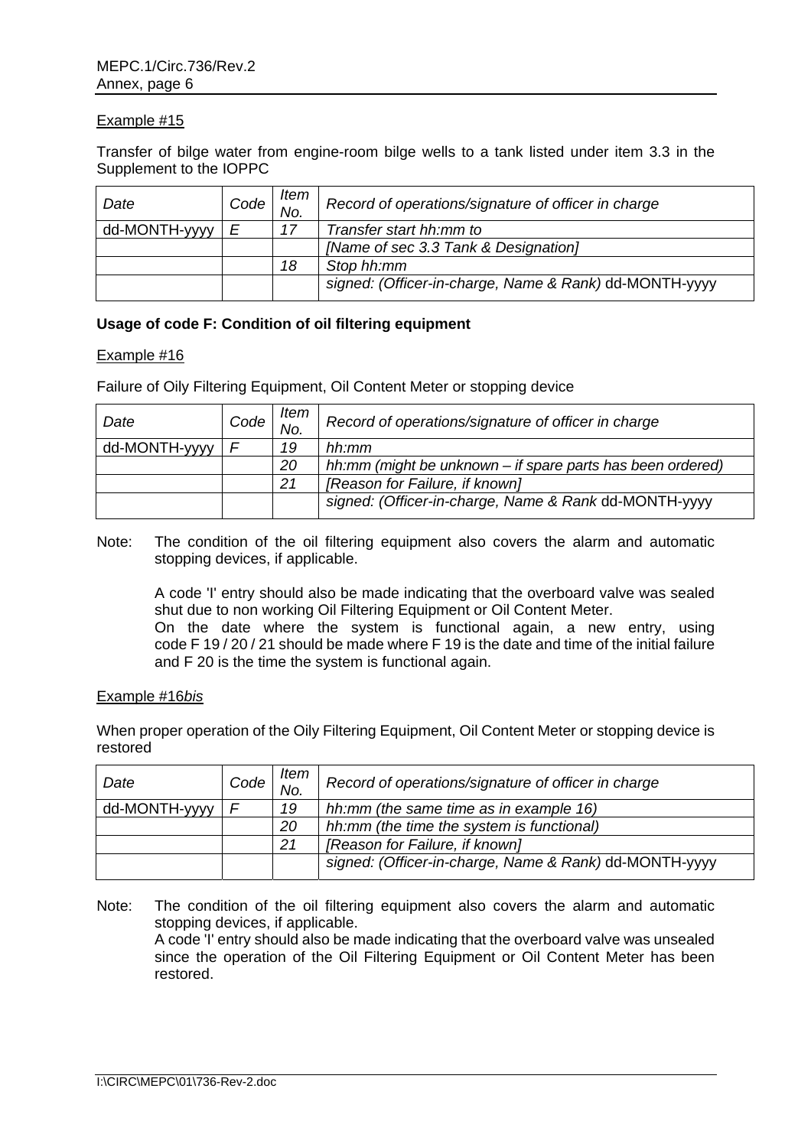Transfer of bilge water from engine-room bilge wells to a tank listed under item 3.3 in the Supplement to the IOPPC

| Date          | Code | Item<br>No. | Record of operations/signature of officer in charge    |
|---------------|------|-------------|--------------------------------------------------------|
| dd-MONTH-yyyy | Ε    | 17          | Transfer start hh:mm to                                |
|               |      |             | [Name of sec 3.3 Tank & Designation]                   |
|               |      | 18          | Stop hh:mm                                             |
|               |      |             | signed: (Officer-in-charge, Name & Rank) dd-MONTH-yyyy |

### **Usage of code F: Condition of oil filtering equipment**

#### Example #16

Failure of Oily Filtering Equipment, Oil Content Meter or stopping device

| Date          | Code | ltem<br>No. | Record of operations/signature of officer in charge        |
|---------------|------|-------------|------------------------------------------------------------|
| dd-MONTH-yyyy |      | 19          | hh:mm                                                      |
|               |      | 20          | hh:mm (might be unknown – if spare parts has been ordered) |
|               |      | 21          | [Reason for Failure, if known]                             |
|               |      |             | signed: (Officer-in-charge, Name & Rank dd-MONTH-yyyy      |

Note: The condition of the oil filtering equipment also covers the alarm and automatic stopping devices, if applicable.

A code 'I' entry should also be made indicating that the overboard valve was sealed shut due to non working Oil Filtering Equipment or Oil Content Meter. On the date where the system is functional again, a new entry, using code F 19 / 20 / 21 should be made where F 19 is the date and time of the initial failure and F 20 is the time the system is functional again.

#### Example #16*bis*

When proper operation of the Oily Filtering Equipment, Oil Content Meter or stopping device is restored

| Date          | Code | Item<br>No. | Record of operations/signature of officer in charge    |
|---------------|------|-------------|--------------------------------------------------------|
| dd-MONTH-yyyy |      | 19          | hh:mm (the same time as in example 16)                 |
|               |      | 20          | hh:mm (the time the system is functional)              |
|               |      | 21          | [Reason for Failure, if known]                         |
|               |      |             | signed: (Officer-in-charge, Name & Rank) dd-MONTH-yyyy |

Note: The condition of the oil filtering equipment also covers the alarm and automatic stopping devices, if applicable. A code 'I' entry should also be made indicating that the overboard valve was unsealed since the operation of the Oil Filtering Equipment or Oil Content Meter has been restored.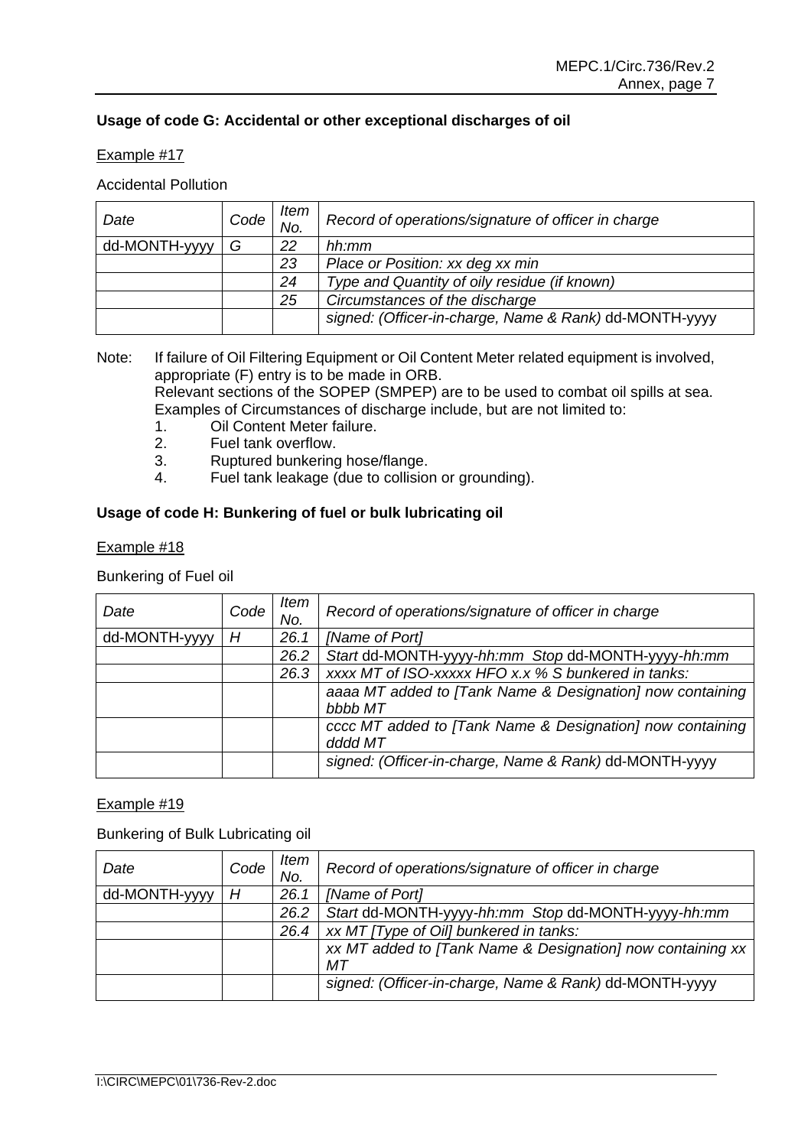## **Usage of code G: Accidental or other exceptional discharges of oil**

### Example #17

### Accidental Pollution

| Date          | Code | Item<br>No. | Record of operations/signature of officer in charge    |
|---------------|------|-------------|--------------------------------------------------------|
| dd-MONTH-yyyy | G    | 22          | hh:mm                                                  |
|               |      | 23          | Place or Position: xx deg xx min                       |
|               |      | 24          | Type and Quantity of oily residue (if known)           |
|               |      | 25          | Circumstances of the discharge                         |
|               |      |             | signed: (Officer-in-charge, Name & Rank) dd-MONTH-yyyy |

Note: If failure of Oil Filtering Equipment or Oil Content Meter related equipment is involved, appropriate (F) entry is to be made in ORB. Relevant sections of the SOPEP (SMPEP) are to be used to combat oil spills at sea.

Examples of Circumstances of discharge include, but are not limited to:

- 1. Oil Content Meter failure.
- 2. Fuel tank overflow.
- 3. Ruptured bunkering hose/flange.
- 4. Fuel tank leakage (due to collision or grounding).

## **Usage of code H: Bunkering of fuel or bulk lubricating oil**

### Example #18

### Bunkering of Fuel oil

| Date          | Code | Item<br>No. | Record of operations/signature of officer in charge                  |
|---------------|------|-------------|----------------------------------------------------------------------|
| dd-MONTH-yyyy | Н    | 26.1        | [Name of Port]                                                       |
|               |      | 26.2        | Start dd-MONTH-yyyy-hh:mm Stop dd-MONTH-yyyy-hh:mm                   |
|               |      | 26.3        | xxxx MT of ISO-xxxxx HFO x.x % S bunkered in tanks:                  |
|               |      |             | aaaa MT added to [Tank Name & Designation] now containing<br>bbbb MT |
|               |      |             | cccc MT added to [Tank Name & Designation] now containing<br>dddd MT |
|               |      |             | signed: (Officer-in-charge, Name & Rank) dd-MONTH-yyyy               |

### Example #19

#### Bunkering of Bulk Lubricating oil

| Code | Item<br>No. | Record of operations/signature of officer in charge        |
|------|-------------|------------------------------------------------------------|
| H    | 26.1        | [Name of Port]                                             |
|      | 26.2        | Start dd-MONTH-yyyy-hh:mm Stop dd-MONTH-yyyy-hh:mm         |
|      | 26.4        | xx MT (Type of Oil) bunkered in tanks:                     |
|      |             | xx MT added to [Tank Name & Designation] now containing xx |
|      |             | МT                                                         |
|      |             | signed: (Officer-in-charge, Name & Rank) dd-MONTH-yyyy     |
|      |             |                                                            |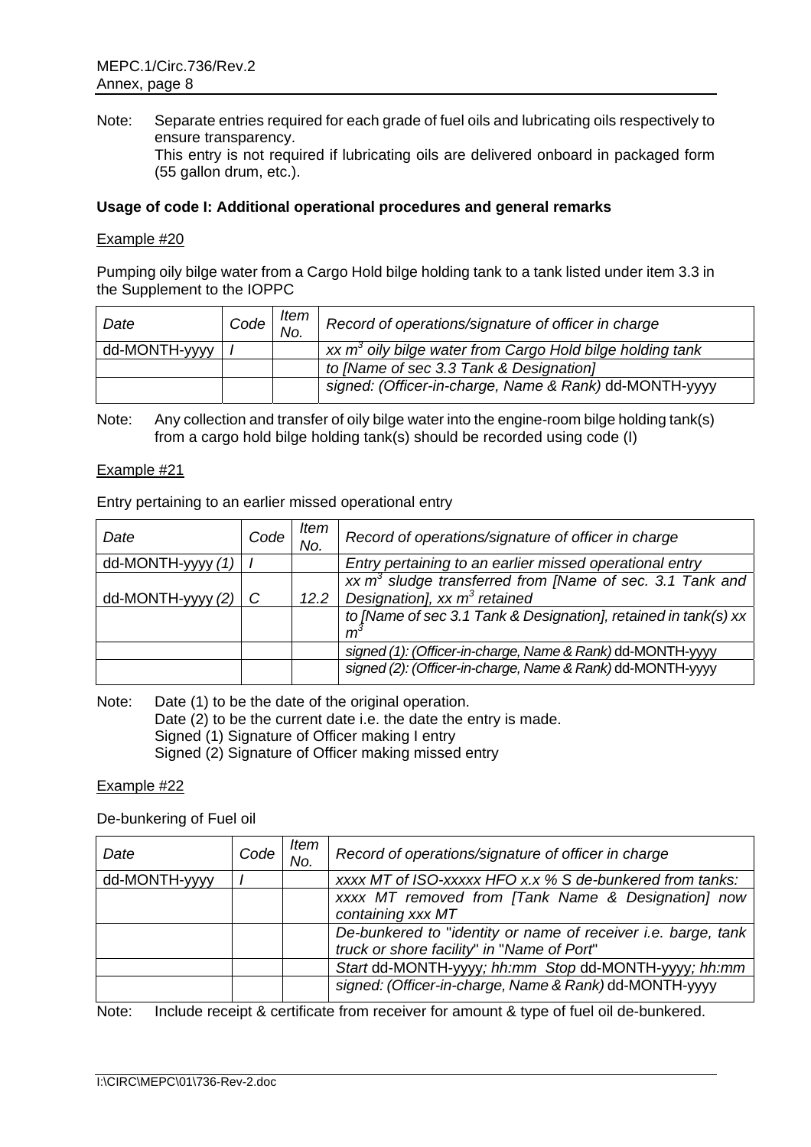Note: Separate entries required for each grade of fuel oils and lubricating oils respectively to ensure transparency. This entry is not required if lubricating oils are delivered onboard in packaged form (55 gallon drum, etc.).

### **Usage of code I: Additional operational procedures and general remarks**

#### Example #20

Pumping oily bilge water from a Cargo Hold bilge holding tank to a tank listed under item 3.3 in the Supplement to the IOPPC

| Date          | $\mid$ Code $\mid$ No. $\mid \cdots$ | Item | Record of operations/signature of officer in charge                     |
|---------------|--------------------------------------|------|-------------------------------------------------------------------------|
| dd-MONTH-yyyy |                                      |      | $xx$ m <sup>3</sup> oily bilge water from Cargo Hold bilge holding tank |
|               |                                      |      | to [Name of sec 3.3 Tank & Designation]                                 |
|               |                                      |      | signed: (Officer-in-charge, Name & Rank) dd-MONTH-yyyy                  |

Note: Any collection and transfer of oily bilge water into the engine-room bilge holding tank(s) from a cargo hold bilge holding tank(s) should be recorded using code (I)

#### Example #21

Entry pertaining to an earlier missed operational entry

| Date              | Code | ltem<br>No. | Record of operations/signature of officer in charge             |
|-------------------|------|-------------|-----------------------------------------------------------------|
| dd-MONTH-yyyy (1) |      |             | Entry pertaining to an earlier missed operational entry         |
|                   |      |             | xx $m3$ sludge transferred from [Name of sec. 3.1 Tank and      |
| dd-MONTH-yyyy (2) |      | 12.2        | Designation], $xx m3$ retained                                  |
|                   |      |             | to [Name of sec 3.1 Tank & Designation], retained in tank(s) xx |
|                   |      |             | m                                                               |
|                   |      |             | signed (1): (Officer-in-charge, Name & Rank) dd-MONTH-yyyy      |
|                   |      |             | signed (2): (Officer-in-charge, Name & Rank) dd-MONTH-yyyy      |
|                   |      |             |                                                                 |

Note: Date (1) to be the date of the original operation.

Date (2) to be the current date i.e. the date the entry is made.

Signed (1) Signature of Officer making I entry

Signed (2) Signature of Officer making missed entry

#### Example #22

#### De-bunkering of Fuel oil

| Date          | Code | Item<br>No. | Record of operations/signature of officer in charge                                                         |
|---------------|------|-------------|-------------------------------------------------------------------------------------------------------------|
| dd-MONTH-yyyy |      |             | xxxx MT of ISO-xxxxx HFO x.x % S de-bunkered from tanks:                                                    |
|               |      |             | xxxx MT removed from [Tank Name & Designation] now<br>containing xxx MT                                     |
|               |      |             | De-bunkered to "identity or name of receiver i.e. barge, tank<br>truck or shore facility" in "Name of Port" |
|               |      |             | Start dd-MONTH-yyyy; hh:mm Stop dd-MONTH-yyyy; hh:mm                                                        |
|               |      |             | signed: (Officer-in-charge, Name & Rank) dd-MONTH-yyyy                                                      |

Note: Include receipt & certificate from receiver for amount & type of fuel oil de-bunkered.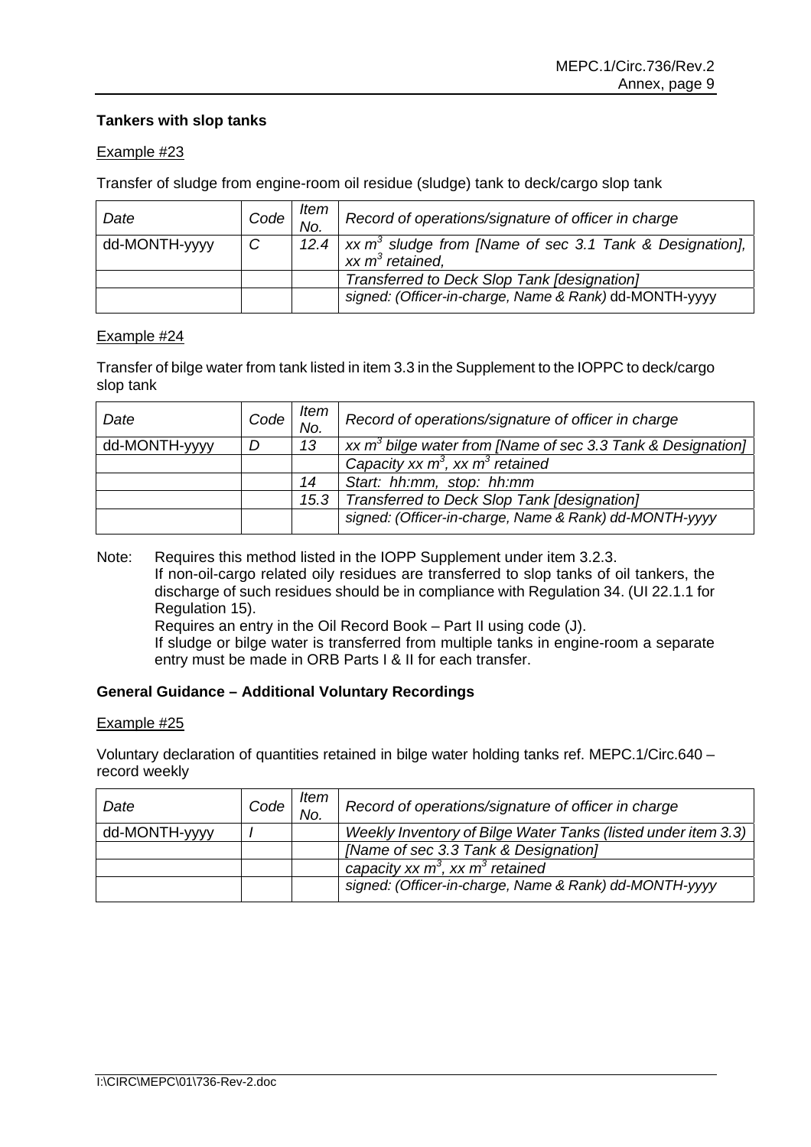## **Tankers with slop tanks**

### Example #23

Transfer of sludge from engine-room oil residue (sludge) tank to deck/cargo slop tank

| Date          | $\mid Code \mid N_0 \mid \cdot$ | ltem | Record of operations/signature of officer in charge                                |
|---------------|---------------------------------|------|------------------------------------------------------------------------------------|
| dd-MONTH-yyyy | $\mathcal{C}$                   |      | $\overline{12.4 \mid xx \, m^3}$ sludge from [Name of sec 3.1 Tank & Designation], |
|               |                                 |      | xx $m^3$ retained,                                                                 |
|               |                                 |      | Transferred to Deck Slop Tank [designation]                                        |
|               |                                 |      | signed: (Officer-in-charge, Name & Rank) dd-MONTH-yyyy                             |

### Example #24

Transfer of bilge water from tank listed in item 3.3 in the Supplement to the IOPPC to deck/cargo slop tank

| Date          | Code | Item<br>No. | Record of operations/signature of officer in charge            |
|---------------|------|-------------|----------------------------------------------------------------|
| dd-MONTH-yyyy | D    | 13          | xx $m^3$ bilge water from [Name of sec 3.3 Tank & Designation] |
|               |      |             | Capacity xx $m^3$ , xx $m^3$ retained                          |
|               |      | 14          | Start: hh:mm, stop: hh:mm                                      |
|               |      | 15.3        | Transferred to Deck Slop Tank [designation]                    |
|               |      |             | signed: (Officer-in-charge, Name & Rank) dd-MONTH-yyyy         |

Note: Requires this method listed in the IOPP Supplement under item 3.2.3. If non-oil-cargo related oily residues are transferred to slop tanks of oil tankers, the discharge of such residues should be in compliance with Regulation 34. (UI 22.1.1 for Regulation 15). Requires an entry in the Oil Record Book – Part II using code (J).

If sludge or bilge water is transferred from multiple tanks in engine-room a separate entry must be made in ORB Parts I & II for each transfer.

### **General Guidance – Additional Voluntary Recordings**

#### Example #25

Voluntary declaration of quantities retained in bilge water holding tanks ref. MEPC.1/Circ.640 – record weekly

| Date          | Code | ltem<br>No. | Record of operations/signature of officer in charge           |
|---------------|------|-------------|---------------------------------------------------------------|
| dd-MONTH-yyyy |      |             | Weekly Inventory of Bilge Water Tanks (listed under item 3.3) |
|               |      |             | [Name of sec 3.3 Tank & Designation]                          |
|               |      |             | capacity xx $m^3$ , xx $m^3$ retained                         |
|               |      |             | signed: (Officer-in-charge, Name & Rank) dd-MONTH-yyyy        |